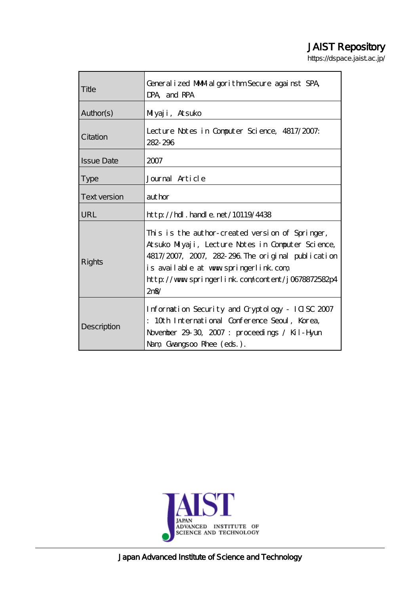# JAIST Repository

https://dspace.jaist.ac.jp/

| Title               | General i zed MMM-al gori thm Secure against SPA<br>DPA and RPA                                                                                                                                                                                                   |
|---------------------|-------------------------------------------------------------------------------------------------------------------------------------------------------------------------------------------------------------------------------------------------------------------|
| Author(s)           | Mlyaji, Atsuko                                                                                                                                                                                                                                                    |
| Citation            | Lecture Notes in Computer Science, 4817/2007.<br>282-296                                                                                                                                                                                                          |
| <b>Issue Date</b>   | 2007                                                                                                                                                                                                                                                              |
| <b>Type</b>         | Journal Article                                                                                                                                                                                                                                                   |
| <b>Text version</b> | author                                                                                                                                                                                                                                                            |
| URL                 | $\frac{1}{2}$ // $\frac{1}{2}$ // $\frac{1}{2}$ . $\frac{1}{2}$ and e. net /10119/4438                                                                                                                                                                            |
| Rights              | This is the author-created version of Springer,<br>Atsuko Miyaji, Lecture Notes in Computer Science,<br>4817/2007, 2007, 282-296. The original publication<br>is available at www.springerlink.com<br>http://www.springerlink.com/content/j0678872582p4<br>$2n\%$ |
| Description         | Information Security and Cryptology - ICISC 2007<br>: 10th International Conference Seoul, Korea,<br>November 29-30, 2007: proceedings / Kil-Hyun<br>Nam Gvangsoo Rhee (eds.).                                                                                    |



Japan Advanced Institute of Science and Technology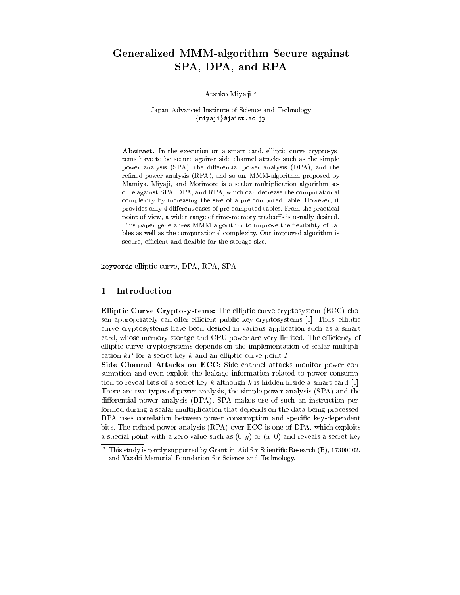## Generalized MMM-algorithm Secure against SPA, DPA, and RPA

Atsuko Miyaji \*

Japan Advanced Institute of Science and Technology {miyaji}@jaist.ac.jp

Abstract. In the execution on a smart card, elliptic curve cryptosystems have to be secure against side channel attacks such as the simple power analysis (SPA), the differential power analysis (DPA), and the refined power analysis (RPA), and so on. MMM-algorithm proposed by Mamiya, Miyaji, and Morimoto is a scalar multiplication algorithm secure against SPA, DPA, and RPA, which can decrease the computational complexity by increasing the size of a pre-computed table. However, it provides only 4 different cases of pre-computed tables. From the practical point of view, a wider range of time-memory tradeoffs is usually desired. This paper generalizes MMM-algorithm to improve the flexibility of tables as well as the computational complexity. Our improved algorithm is secure, efficient and flexible for the storage size.

keywords elliptic curve, DPA, RPA, SPA

#### Introduction  $\mathbf 1$

**Elliptic Curve Cryptosystems:** The elliptic curve cryptosystem (ECC) chosen appropriately can offer efficient public key cryptosystems [1]. Thus, elliptic curve cryptosystems have been desired in various application such as a smart card, whose memory storage and CPU power are very limited. The efficiency of elliptic curve cryptosystems depends on the implementation of scalar multiplication  $kP$  for a secret key k and an elliptic-curve point P.

Side Channel Attacks on ECC: Side channel attacks monitor power consumption and even exploit the leakage information related to power consumption to reveal bits of a secret key k although k is hidden inside a smart card [1]. There are two types of power analysis, the simple power analysis (SPA) and the differential power analysis (DPA). SPA makes use of such an instruction performed during a scalar multiplication that depends on the data being processed. DPA uses correlation between power consumption and specific key-dependent bits. The refined power analysis (RPA) over ECC is one of DPA, which exploits a special point with a zero value such as  $(0, y)$  or  $(x, 0)$  and reveals a secret key

This study is partly supported by Grant-in-Aid for Scientific Research (B), 17300002. and Yazaki Memorial Foundation for Science and Technology.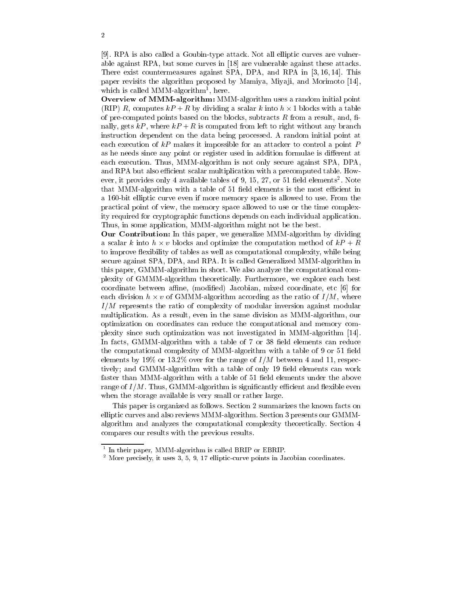[9]. RPA is also called a Goubin-type attack. Not all elliptic curves are vulnerable against RPA, but some curves in [18] are vulnerable against these attacks. There exist countermeasures against SPA, DPA, and RPA in [3, 16, 14]. This paper revisits the algorithm proposed by Mamiya, Miyaji, and Morimoto [14], which is called MMM-algorithm<sup>1</sup>, here.

Overview of MMM-algorithm: MMM-algorithm uses a random initial point (RIP) R, computes  $kP + R$  by dividing a scalar k into  $h \times 1$  blocks with a table of pre-computed points based on the blocks, subtracts  $R$  from a result, and, finally, gets  $kP$ , where  $kP + R$  is computed from left to right without any branch instruction dependent on the data being processed. A random initial point at each execution of  $kP$  makes it impossible for an attacker to control a point P as he needs since any point or register used in addition formulae is different at each execution. Thus, MMM-algorithm is not only secure against SPA, DPA, and RPA but also efficient scalar multiplication with a precomputed table. However, it provides only 4 available tables of 9, 15, 27, or 51 field elements<sup>2</sup>. Note that MMM-algorithm with a table of 51 field elements is the most efficient in a 160-bit elliptic curve even if more memory space is allowed to use. From the practical point of view, the memory space allowed to use or the time complexity required for cryptographic functions depends on each individual application. Thus, in some application, MMM-algorithm might not be the best.

**Our Contribution:** In this paper, we generalize MMM-algorithm by dividing a scalar k into  $h \times v$  blocks and optimize the computation method of  $kP + R$ to improve flexibility of tables as well as computational complexity, while being secure against SPA, DPA, and RPA. It is called Generalized MMM-algorithm in this paper, GMMM-algorithm in short. We also analyze the computational complexity of GMMM-algorithm theoretically. Furthermore, we explore each best coordinate between affine, (modified) Jacobian, mixed coordinate, etc [6] for each division  $h \times v$  of GMMM-algorithm according as the ratio of  $I/M$ , where  $I/M$  represents the ratio of complexity of modular inversion against modular multiplication. As a result, even in the same division as MMM-algorithm, our optimization on coordinates can reduce the computational and memory complexity since such optimization was not investigated in MMM-algorithm [14]. In facts, GMMM-algorithm with a table of 7 or 38 field elements can reduce the computational complexity of MMM-algorithm with a table of 9 or 51 field elements by 19% or 13.2% over for the range of  $I/M$  between 4 and 11, respectively; and GMMM-algorithm with a table of only 19 field elements can work faster than MMM-algorithm with a table of 51 field elements under the above range of  $I/M$ . Thus, GMMM-algorithm is significantly efficient and flexible even when the storage available is very small or rather large.

This paper is organized as follows. Section 2 summarizes the known facts on elliptic curves and also reviews MMM-algorithm. Section 3 presents our GMMMalgorithm and analyzes the computational complexity theoretically. Section 4 compares our results with the previous results.

 $1$  In their paper, MMM-algorithm is called BRIP or EBRIP.

 $2$  More precisely, it uses 3, 5, 9, 17 elliptic-curve points in Jacobian coordinates.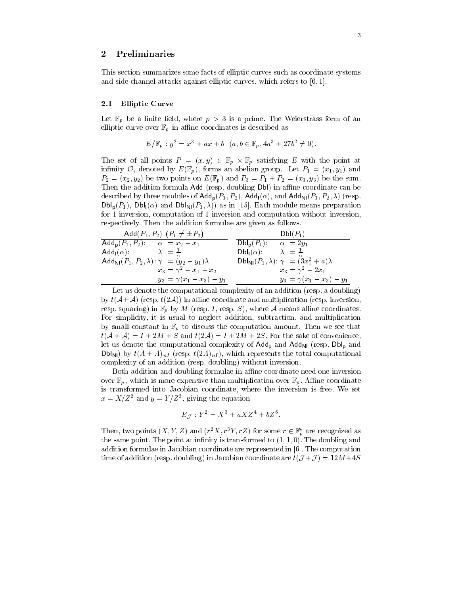#### $\boldsymbol{2}$ Preliminaries

This section summarizes some facts of elliptic curves such as coordinate systems and side channel attacks against elliptic curves, which refers to  $[6, 1]$ .

#### $2.1$ **Elliptic Curve**

Let  $\mathbb{F}_p$  be a finite field, where  $p > 3$  is a prime. The Weierstrass form of an elliptic curve over  $\mathbb{F}_p$  in affine coordinates is described as

$$
E/\mathbb{F}_p : y^2 = x^3 + ax + b \ (a, b \in \mathbb{F}_p, 4a^3 + 27b^2 \neq 0).
$$

The set of all points  $P = (x, y) \in \mathbb{F}_p \times \mathbb{F}_p$  satisfying E with the point at infinity O, denoted by  $E(\mathbb{F}_p)$ , forms an abelian group. Let  $P_1 = (x_1, y_1)$  and  $P_2 = (x_2, y_2)$  be two points on  $E(\mathbb{F}_p)$  and  $P_3 = P_1 + P_2 = (x_3, y_3)$  be the sum. Then the addition formula Add (resp. doubling Dbl) in affine coordinate can be described by three modules of  $\mathsf{Add}_{p}(P_1, P_2)$ ,  $\mathsf{Add}_{p}(\alpha)$ , and  $\mathsf{Add}_{N}(P_1, P_2, \lambda)$  (resp.  $\mathsf{Dbl}_p(P_1)$ ,  $\mathsf{Dbl}_p(\alpha)$  and  $\mathsf{Dbl}_{\mathsf{NI}}(P_1,\lambda)$  as in [15]. Each module means preparation for 1 inversion, computation of 1 inversion and computation without inversion, respectively. Then the addition formulae are given as follows.

| Add $(P_1, P_2)$ $(P_1 \neq \pm P_2)$                                        | $Dbl(P_1)$                                                    |
|------------------------------------------------------------------------------|---------------------------------------------------------------|
| Add <sub>p</sub> $(P_1, P_2)$ : $\alpha = x_2 - x_1$                         | $\mathsf{Dbl}_{\mathsf{D}}(P_1)$ :<br>$\alpha = 2y_1$         |
| $\lambda = \frac{1}{2}$<br>$\mathsf{Add}_{\mathsf{I}}(\alpha)$ :             | $\lambda = \frac{1}{n}$<br>$Dbl_1(\alpha)$ :                  |
| $\mathsf{Add}_{\mathsf{Nl}}(P_1, P_2, \lambda): \gamma = (y_2 - y_1)\lambda$ | $DbI_{\text{NI}}(P_1, \lambda): \gamma = (3x_1^2 + a)\lambda$ |
| $x_3 = \gamma^2 - x_1 - x_2$                                                 | $x_3 = \gamma^2 - 2x_1$                                       |
| $y_3 = \gamma(x_1 - x_3) - y_1$                                              | $y_3 = \gamma(x_1 - x_3) - y_1$                               |

Let us denote the computational complexity of an addition (resp. a doubling) by  $t(A+A)$  (resp.  $t(2A)$ ) in affine coordinate and multiplication (resp. inversion. resp. squaring) in  $\mathbb{F}_p$  by M (resp. I, resp. S), where A means affine coordinates. For simplicity, it is usual to neglect addition, subtraction, and multiplication by small constant in  $\mathbb{F}_p$  to discuss the computation amount. Then we see that  $t(A+A) = I + 2M + S$  and  $t(2A) = I + 2M + 2S$ . For the sake of convenience, let us denote the computational complexity of  $\mathsf{Add}_{p}$  and  $\mathsf{Add}_{N}$  (resp.  $\mathsf{Dbl}_{p}$  and  $\mathsf{Dbl}_{\mathsf{N}}$ ) by  $t(A+A)_{nI}$  (resp.  $t(2A)_{nI}$ ), which represents the total computational complexity of an addition (resp. doubling) without inversion.

Both addition and doubling formulae in affine coordinate need one inversion over  $\mathbb{F}_p$ , which is more expensive than multiplication over  $\mathbb{F}_p$ . Affine coordinate is transformed into Jacobian coordinate, where the inversion is free. We set  $x = X/Z^2$  and  $y = Y/Z^3$ , giving the equation

$$
E_{\mathcal{J}} : Y^2 = X^3 + aXZ^4 + bZ^6.
$$

Then, two points  $(X, Y, Z)$  and  $(r^2 X, r^3 Y, rZ)$  for some  $r \in \mathbb{F}_p^*$  are recognized as the same point. The point at infinity is transformed to  $(1, 1, 0)$ . The doubling and addition formulae in Jacobian coordinate are represented in  $[6]$ . The computation time of addition (resp. doubling) in Jacobian coordinate are  $t(\mathcal{J}+\mathcal{J})=12M+4S$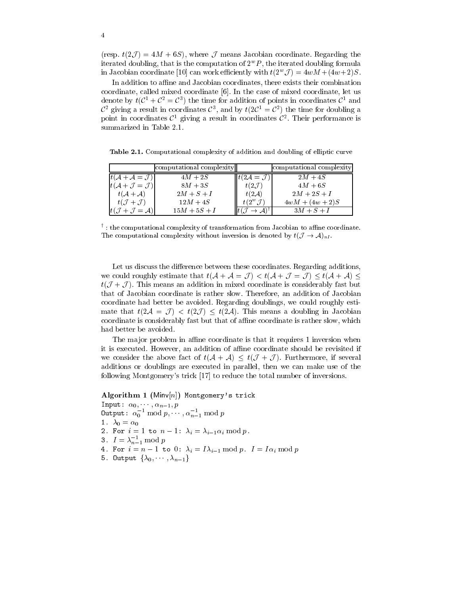(resp.  $t(2\mathcal{J}) = 4M + 6S$ ), where  $\mathcal J$  means Jacobian coordinate. Regarding the iterated doubling, that is the computation of  $2^w P$ , the iterated doubling formula in Jacobian coordinate [10] can work efficiently with  $t(2^w \mathcal{J}) = 4wM + (4w+2)S$ .

In addition to affine and Jacobian coordinates, there exists their combination coordinate, called mixed coordinate [6]. In the case of mixed coordinate, let us denote by  $t(\mathcal{C}^1 + \mathcal{C}^2 = \mathcal{C}^3)$  the time for addition of points in coordinates  $\mathcal{C}^1$  and  $\mathcal{C}^2$  giving a result in coordinates  $\mathcal{C}^3$ , and by  $t(2\mathcal{C}^1 = \mathcal{C}^2)$  the time for doubling a point in coordinates  $\mathcal{C}^1$  giving a result in coordinates  $\mathcal{C}^2$ . Their performance is summarized in Table 2.1.

Table 2.1. Computational complexity of addition and doubling of elliptic curve

|                                              | computational complexity |                                          | computational complexity |
|----------------------------------------------|--------------------------|------------------------------------------|--------------------------|
| $ t(A + A = \mathcal{J}) $                   | $4M+2S$                  | $\Vert t(2\mathcal{A}=\mathcal{J})\Vert$ | $2M+4S$                  |
| $ t(A+J=J) $                                 | $8M+3S$                  | $t(2\mathcal{J})$                        | $4M+6S$                  |
| $t(A+A)$                                     | $2M+S+I$                 | $t(2\mathcal{A})$                        | $2M + 2S + I$            |
| $t(\mathcal{J}+\mathcal{J})$                 | $12M+4S$                 | $t(2^w,\mathcal{J})$                     | $4wM + (4w + 2)S$        |
| $t(\mathcal{J} + \mathcal{J} = \mathcal{A})$ | $15M + 5S + I$           |                                          | $3M+S+I$                 |

 $^{\dagger}$ : the computational complexity of transformation from Jacobian to affine coordinate. The computational complexity without inversion is denoted by  $t(\mathcal{J} \to \mathcal{A})_{nI}$ .

Let us discuss the difference between these coordinates. Regarding additions, we could roughly estimate that  $t(A + A = J) < t(A + J = J) \leq t(A + A) \leq$  $t(\mathcal{J} + \mathcal{J})$ . This means an addition in mixed coordinate is considerably fast but that of Jacobian coordinate is rather slow. Therefore, an addition of Jacobian coordinate had better be avoided. Regarding doublings, we could roughly estimate that  $t(2\mathcal{A} = \mathcal{J}) < t(2\mathcal{J}) \leq t(2\mathcal{A})$ . This means a doubling in Jacobian coordinate is considerably fast but that of affine coordinate is rather slow, which had better be avoided.

The major problem in affine coordinate is that it requires 1 inversion when it is executed. However, an addition of affine coordinate should be revisited if we consider the above fact of  $t(\mathcal{A} + \mathcal{A}) \leq t(\mathcal{J} + \mathcal{J})$ . Furthermore, if several additions or doublings are executed in parallel, then we can make use of the following Montgomery's trick [17] to reduce the total number of inversions.

Algorithm 1 (Minv $[n]$ ) Montgomery's trick Input:  $\alpha_0, \dots, \alpha_{n-1}, p$ <br>
0utput:  $\alpha_0^{-1} \mod p, \dots, \alpha_{n-1}^{-1} \mod p$ 1.  $\lambda_0 = \alpha_0$ 

2. For  $i=1$  to  $n-1$ :  $\lambda_i = \lambda_{i-1} \alpha_i \mod p$ .

- 3.  $I = \lambda_{n-1}^{-1} \mod p$
- 4. For  $i = n 1$  to 0:  $\lambda_i = I\lambda_{i-1} \bmod p$ .  $I = I\alpha_i \bmod p$
- 5. Output  $\{\lambda_0, \cdots, \lambda_{n-1}\}$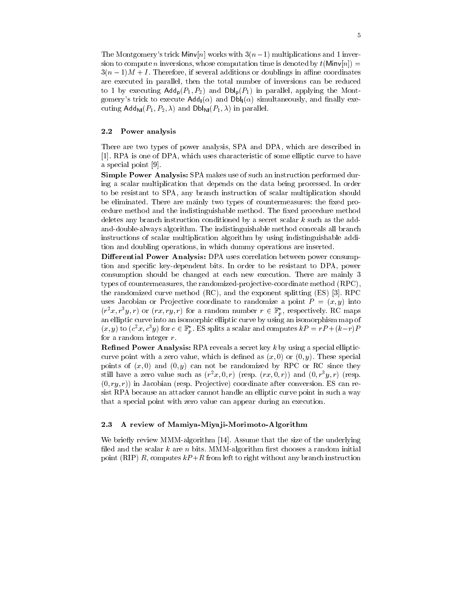The Montgomery's trick  $\text{Min}[n]$  works with  $3(n-1)$  multiplications and 1 inversion to compute n inversions, whose computation time is denoted by  $t(\text{Minv}[n]) =$  $3(n-1)M + I$ . Therefore, if several additions or doublings in affine coordinates are executed in parallel, then the total number of inversions can be reduced to 1 by executing  $\mathsf{Add}_{p}(P_1, P_2)$  and  $\mathsf{Dbl}_{p}(P_1)$  in parallel, applying the Montgomery's trick to execute  $\mathsf{Add}_{\mathsf{I}}(\alpha)$  and  $\mathsf{Dbl}_{\mathsf{I}}(\alpha)$  simultaneously, and finally executing  $\mathsf{Add}_{\mathsf{N}}(P_1, P_2, \lambda)$  and  $\mathsf{Dbl}_{\mathsf{N}}(P_1, \lambda)$  in parallel.

#### 2.2 Power analysis

There are two types of power analysis, SPA and DPA, which are described in [1]. RPA is one of DPA, which uses characteristic of some elliptic curve to have a special point [9].

**Simple Power Analysis:** SPA makes use of such an instruction performed during a scalar multiplication that depends on the data being processed. In order to be resistant to SPA, any branch instruction of scalar multiplication should be eliminated. There are mainly two types of countermeasures: the fixed procedure method and the indistinguishable method. The fixed procedure method deletes any branch instruction conditioned by a secret scalar  $k$  such as the addand-double-always algorithm. The indistinguishable method conceals all branch instructions of scalar multiplication algorithm by using indistinguishable addition and doubling operations, in which dummy operations are inserted.

Differential Power Analysis: DPA uses correlation between power consumption and specific key-dependent bits. In order to be resistant to DPA, power consumption should be changed at each new execution. There are mainly 3 types of countermeasures, the randomized-projective-coordinate method (RPC), the randomized curve method  $(RC)$ , and the exponent splitting  $(ES)$  [3]. RPC uses Jacobian or Projective coordinate to randomize a point  $P = (x, y)$  into  $(r^2x, r^3y, r)$  or  $(rx, ry, r)$  for a random number  $r \in \mathbb{F}_p^*$ , respectively. RC maps an elliptic curve into an isomorphic elliptic curve by using an isomorphism map of  $(x, y)$  to  $(c^2x, c^3y)$  for  $c \in \mathbb{F}_p^*$ . ES splits a scalar and computes  $kP = rP + (k-r)P$ for a random integer  $r$ .

**Refined Power Analysis:** RPA reveals a secret key  $k$  by using a special ellipticcurve point with a zero value, which is defined as  $(x, 0)$  or  $(0, y)$ . These special points of  $(x, 0)$  and  $(0, y)$  can not be randomized by RPC or RC since they still have a zero value such as  $(r^2x, 0, r)$  (resp.  $(rx, 0, r))$  and  $(0, r^3y, r)$  (resp.  $(0, ry, r)$  in Jacobian (resp. Projective) coordinate after conversion. ES can resist RPA because an attacker cannot handle an elliptic curve point in such a way that a special point with zero value can appear during an execution.

#### 2.3 A review of Mamiya-Miyaji-Morimoto-Algorithm

We briefly review MMM-algorithm [14]. Assume that the size of the underlying filed and the scalar  $k$  are  $n$  bits. MMM-algorithm first chooses a random initial point (RIP) R, computes  $kP+R$  from left to right without any branch instruction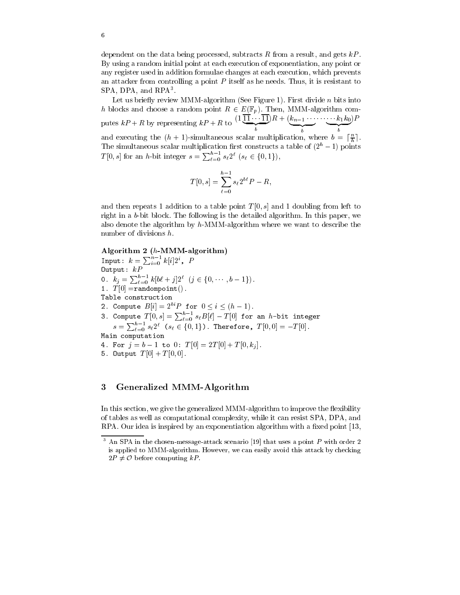dependent on the data being processed, subtracts R from a result, and gets  $kP$ . By using a random initial point at each execution of exponentiation, any point or any register used in addition formulae changes at each execution, which prevents an attacker from controlling a point  $P$  itself as he needs. Thus, it is resistant to SPA, DPA, and RPA<sup>3</sup>.

Let us briefly review MMM-algorithm (See Figure 1). First divide  $n$  bits into h blocks and choose a random point  $R \in E(\mathbb{F}_p)$ . Then, MMM-algorithm computes  $kP + R$  by representing  $kP + R$  to  $\frac{(1 \prod_{i=1}^{n} R + (k_{n-1} \cdots k_1 k_0)P)}{b}$ and executing the  $(h + 1)$ -simultaneous scalar multiplication, where  $b = \lceil \frac{n}{h} \rceil$ . The simultaneous scalar multiplication first constructs a table of  $(2<sup>h</sup> - 1)$  points  $T[0, s]$  for an h-bit integer  $s = \sum_{\ell=0}^{h-1} s_{\ell} 2^{\ell}$  ( $s_{\ell} \in \{0, 1\}$ ),

$$
T[0, s] = \sum_{\ell=0}^{h-1} s_{\ell} 2^{b\ell} P - R,
$$

and then repeats 1 addition to a table point  $T[0,s]$  and 1 doubling from left to right in a b-bit block. The following is the detailed algorithm. In this paper, we also denote the algorithm by  $h$ -MMM-algorithm where we want to describe the number of divisions  $h$ .

### Algorithm 2  $(h\text{-}\text{MMM-algorithms})$

Input:  $k = \sum_{i=0}^{n-1} k[i] 2^i$ , P  $0$ utput:  $kP$ 0.  $k_j = \sum_{\ell=0}^{h-1} k[b\ell + j] 2^{\ell}$   $(j \in \{0, \dots, b-1\})$ . 1.  $T[0] = \text{randompoint}()$ . Table construction 2. Compute  $B[i] = 2^{bi}P$  for  $0 \le i \le (h-1)$ . 3. Compute  $T[0, s] = \sum_{\ell=0}^{h-1} s_{\ell} B[\ell] - T[0]$  for an h-bit integer<br> $s = \sum_{\ell=0}^{h-1} s_{\ell} 2^{\ell}$  ( $s_{\ell} \in \{0, 1\}$ ). Therefore,  $T[0, 0] = -T[0]$ . Main computation 4. For  $j = b - 1$  to 0:  $T[0] = 2T[0] + T[0, k<sub>i</sub>]$ . 5. Output  $T[0] + T[0,0]$ .

#### 3 Generalized MMM-Algorithm

In this section, we give the generalized MMM-algorithm to improve the flexibility of tables as well as computational complexity, while it can resist SPA, DPA, and RPA. Our idea is inspired by an exponentiation algorithm with a fixed point [13,

 $\boldsymbol{\beta}$ An SPA in the chosen-message-attack scenario [19] that uses a point  $P$  with order 2 is applied to MMM-algorithm. However, we can easily avoid this attack by checking  $2P \neq \mathcal{O}$  before computing  $kP$ .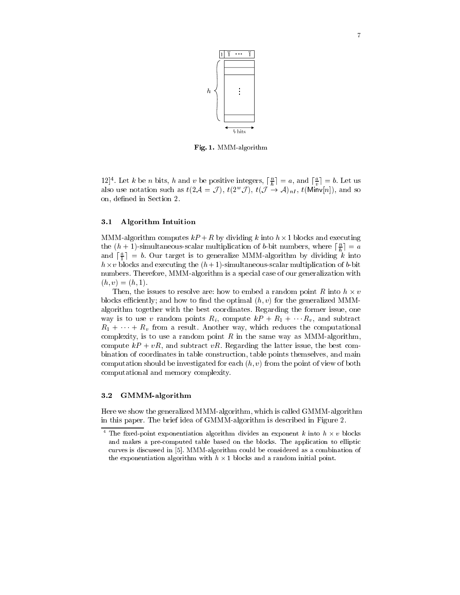

Fig. 1. MMM-algorithm

 $[12]^4$ . Let k be n bits, h and v be positive integers,  $\lceil \frac{n}{h} \rceil = a$ , and  $\lceil \frac{a}{n} \rceil = b$ . Let us also use notation such as  $t(2\mathcal{A} = \mathcal{J})$ ,  $t(2^w \mathcal{J})$ ,  $t(\mathcal{J} \stackrel{n}{\rightarrow} \mathcal{A})_{nI}$ ,  $t(\text{Minv}[n])$ , and so on, defined in Section 2.

#### $3.1$ **Algorithm Intuition**

MMM-algorithm computes  $kP + R$  by dividing k into  $h \times 1$  blocks and executing the  $(h + 1)$ -simultaneous-scalar multiplication of b-bit numbers, where  $\lceil \frac{n}{b} \rceil = a$ and  $\lceil \frac{a}{1} \rceil = b$ . Our target is to generalize MMM-algorithm by dividing k into  $h \times v$  blocks and executing the  $(h+1)$ -simultaneous-scalar multiplication of b-bit numbers. Therefore, MMM-algorithm is a special case of our generalization with  $(h, v) = (h, 1).$ 

Then, the issues to resolve are: how to embed a random point R into  $h \times v$ blocks efficiently; and how to find the optimal  $(h, v)$  for the generalized MMMalgorithm together with the best coordinates. Regarding the former issue, one way is to use v random points  $R_i$ , compute  $kP + R_1 + \cdots + R_v$ , and subtract  $R_1 + \cdots + R_v$  from a result. Another way, which reduces the computational complexity, is to use a random point R in the same way as MMM-algorithm, compute  $kP + vR$ , and subtract vR. Regarding the latter issue, the best combination of coordinates in table construction, table points themselves, and main computation should be investigated for each  $(h, v)$  from the point of view of both computational and memory complexity.

#### $3.2$ GMMM-algorithm

Here we show the generalized MMM-algorithm, which is called GMMM-algorithm in this paper. The brief idea of GMMM-algorithm is described in Figure 2.

 $\overline{4}$ The fixed-point exponentiation algorithm divides an exponent k into  $h \times v$  blocks and makes a pre-computed table based on the blocks. The application to elliptic curves is discussed in [5]. MMM-algorithm could be considered as a combination of the exponentiation algorithm with  $h \times 1$  blocks and a random initial point.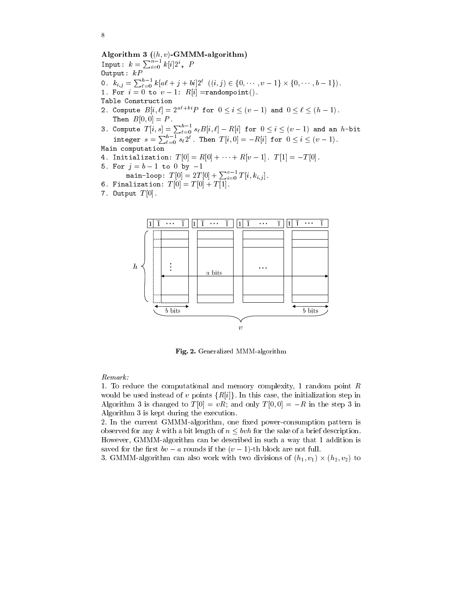8

```
Algorithm 3 ((h, v)-GMMM-algorithm)
Input: k = \sum_{i=0}^{n-1} k[i] 2^i, P
Output: kP0. k_{i,j} = \sum_{\ell=0}^{h-1} k[a\ell + j + bi]2^{\ell} ((i,j) \in \{0, \dots, v-1\} \times \{0, \dots, b-1\}).<br>1. For i = 0 to v - 1: R[i] = \text{randompoint}().
Table Construction
2. Compute B[i,\ell]=2^{a\ell+bi}P for 0\leq i\leq (v-1) and 0\leq \ell\leq (h-1).
     Then B[0,0] = P.
3. Compute T[i, s] = \sum_{\ell=0}^{h-1} s_{\ell} B[i, \ell] - R[i] for 0 \le i \le (v-1) and an h-bit<br>integer s = \sum_{\ell=0}^{h-1} s_{\ell} 2^{\ell}. Then T[i, 0] = -R[i] for 0 \le i \le (v-1).
Main computation
4. Initialization: T[0] = R[0] + \cdots + R[v-1]. T[1] = -T[0].
5. For j = b - 1 to 0 by -1main-loop: T[0] = 2T[0] + \sum_{i=0}^{v-1} T[i, k_{i,j}].<br>6. Finalization: T[0] = T[0] + T[1].
```
- 
- 7. Output  $T[0]$ .



Fig. 2. Generalized MMM-algorithm

Remark:

1. To reduce the computational and memory complexity, 1 random point  $R$ would be used instead of v points  $\{R[i]\}\$ . In this case, the initialization step in Algorithm 3 is changed to  $T[0] = vR$ ; and only  $T[0,0] = -R$  in the step 3 in Algorithm 3 is kept during the execution.

2. In the current GMMM-algorithm, one fixed power-consumption pattern is observed for any k with a bit length of  $n \leq bwh$  for the sake of a brief description. However, GMMM-algorithm can be described in such a way that 1 addition is saved for the first  $bv - a$  rounds if the  $(v - 1)$ -th block are not full.

3. GMMM-algorithm can also work with two divisions of  $(h_1, v_1) \times (h_2, v_2)$  to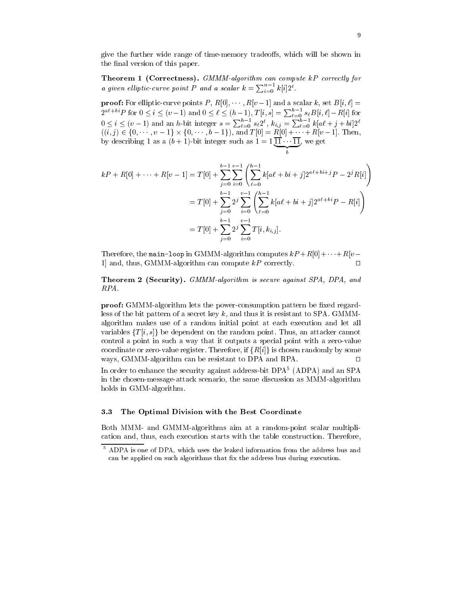give the further wide range of time-memory tradeoffs, which will be shown in the final version of this paper.

Theorem 1 (Correctness). GMMM-algorithm can compute kP correctly for a given elliptic-curve point P and a scalar  $k = \sum_{i=0}^{n-1} k[i]2^i$ .

**proof:** For elliptic-curve points P,  $R[0], \cdots, R[v-1]$  and a scalar k, set  $B[i, \ell] =$  $2^{a\ell + bi}P$  for  $0 \le i \le (v-1)$  and  $0 \le \ell \le (h-1)$ ,  $T[i, s] = \sum_{\ell=0}^{h-1} s_{\ell}B[i, \ell] - R[i]$  for  $0 \le i \le (v-1)$  and an h-bit integer  $s = \sum_{\ell=0}^{h-1} s_{\ell}2^{\ell}$ ,  $k_{i,j} = \sum_{\ell=0}^{h-1} k[a\ell + j + bi]2^{\ell}$  $((i, j) \in \{0, \dots, v-1\} \times \{0, \dots, b-1\}),$  and  $T[0] = R[0] + \dots + R[v-1]$ . Then,<br>by describing 1 as a  $(b + 1)$ -bit integer such as  $1 = 1$   $\overline{11} \dots \overline{11}$ , we get

$$
kP + R[0] + \cdots + R[v-1] = T[0] + \sum_{j=0}^{b-1} \sum_{i=0}^{v-1} \left( \sum_{\ell=0}^{h-1} k[a\ell + bi + j] 2^{a\ell + bi + j} P - 2^{j} R[i] \right)
$$
  

$$
= T[0] + \sum_{j=0}^{b-1} 2^{j} \sum_{i=0}^{v-1} \left( \sum_{\ell=0}^{h-1} k[a\ell + bi + j] 2^{a\ell + bi} P - R[i] \right)
$$
  

$$
= T[0] + \sum_{j=0}^{b-1} 2^{j} \sum_{i=0}^{v-1} T[i, k_{i,j}].
$$

Therefore, the main-loop in GMMM-algorithm computes  $kP + R[0] + \cdots + R[v-$ 1] and, thus, GMMM-algorithm can compute  $kP$  correctly.  $\Box$ 

Theorem 2 (Security). GMMM-algorithm is secure against SPA, DPA, and  $RPA$ .

**proof:** GMMM-algorithm lets the power-consumption pattern be fixed regardless of the bit pattern of a secret key  $k$ , and thus it is resistant to SPA. GMMMalgorithm makes use of a random initial point at each execution and let all variables  $\{T[i, s]\}$  be dependent on the random point. Thus, an attacker cannot control a point in such a way that it outputs a special point with a zero-value coordinate or zero-value register. Therefore, if  $\{R[i]\}\$ is chosen randomly by some ways, GMMM-algorithm can be resistant to DPA and RPA.  $\Box$ 

In order to enhance the security against address-bit DPA<sup>5</sup> (ADPA) and an SPA in the chosen-message-attack scenario, the same discussion as MMM-algorithm holds in GMM-algorithm.

#### $3.3\,$ The Optimal Division with the Best Coordinate

Both MMM- and GMMM-algorithms aim at a random-point scalar multiplication and, thus, each execution starts with the table construction. Therefore,

 $5$  ADPA is one of DPA, which uses the leaked information from the address bus and can be applied on such algorithms that fix the address bus during execution.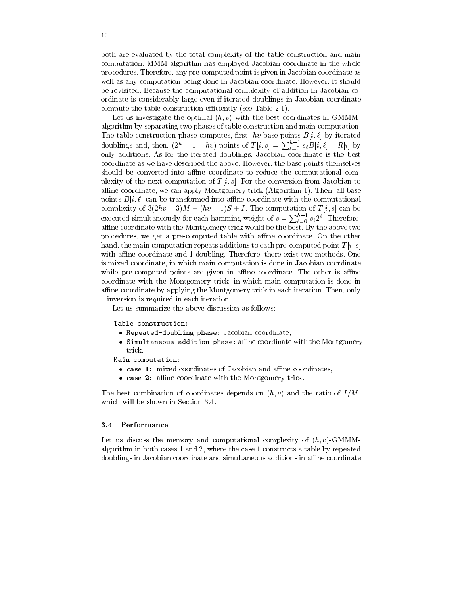both are evaluated by the total complexity of the table construction and main computation. MMM-algorithm has employed Jacobian coordinate in the whole procedures. Therefore, any pre-computed point is given in Jacobian coordinate as well as any computation being done in Jacobian coordinate. However, it should be revisited. Because the computational complexity of addition in Jacobian coordinate is considerably large even if iterated doublings in Jacobian coordinate compute the table construction efficiently (see Table 2.1).

Let us investigate the optimal  $(h, v)$  with the best coordinates in GMMMalgorithm by separating two phases of table construction and main computation. The table-construction phase computes, first, hv base points  $B[i, \ell]$  by iterated doublings and, then,  $(2^h - 1 - hv)$  points of  $T[i, s] = \sum_{\ell=0}^{h-1} s_{\ell} B[i, \ell] - R[i]$  by only additions. As for the iterated doublings, Jacobian coordinate is the best coordinate as we have described the above. However, the base points themselves should be converted into affine coordinate to reduce the computational complexity of the next computation of  $T[i, s]$ . For the conversion from Jacobian to affine coordinate, we can apply Montgomery trick (Algorithm 1). Then, all base points  $B[i, \ell]$  can be transformed into affine coordinate with the computational complexity of  $3(2hv-3)M + (hv-1)S + I$ . The computation of  $T[i, s]$  can be executed simultaneously for each hamming weight of  $s = \sum_{\ell=0}^{h-1} s_{\ell} 2^{\ell}$ . Therefore, affine coordinate with the Montgomery trick would be the best. By the above two procedures, we get a pre-computed table with affine coordinate. On the other hand, the main computation repeats additions to each pre-computed point  $T[i, s]$ with affine coordinate and 1 doubling. Therefore, there exist two methods. One is mixed coordinate, in which main computation is done in Jacobian coordinate while pre-computed points are given in affine coordinate. The other is affine coordinate with the Montgomery trick, in which main computation is done in affine coordinate by applying the Montgomery trick in each iteration. Then, only 1 inversion is required in each iteration.

Let us summarize the above discussion as follows:

- Table construction:
	- Repeated-doubling phase: Jacobian coordinate,
	- Simultaneous-addition phase: affine coordinate with the Montgomery trick,
- Main computation:
	- case 1: mixed coordinates of Jacobian and affine coordinates,
	- $\bullet$  case 2: affine coordinate with the Montgomery trick.

The best combination of coordinates depends on  $(h, v)$  and the ratio of  $I/M$ , which will be shown in Section 3.4.

#### 3.4 Performance

Let us discuss the memory and computational complexity of  $(h, v)$ -GMMMalgorithm in both cases 1 and 2, where the case 1 constructs a table by repeated doublings in Jacobian coordinate and simultaneous additions in affine coordinate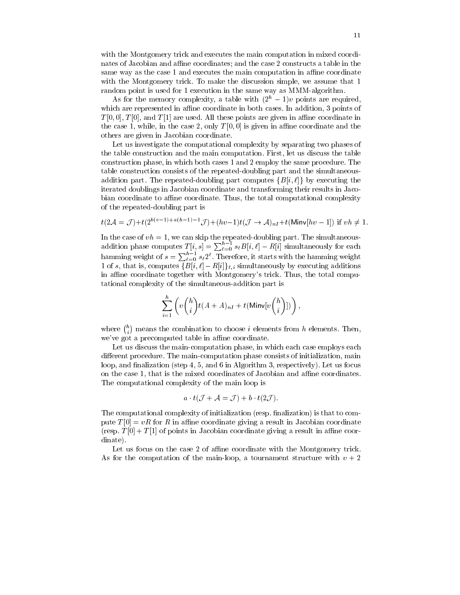with the Montgomery trick and executes the main computation in mixed coordinates of Jacobian and affine coordinates; and the case 2 constructs a table in the same way as the case 1 and executes the main computation in affine coordinate with the Montgomery trick. To make the discussion simple, we assume that 1 random point is used for 1 execution in the same way as MMM-algorithm.

As for the memory complexity, a table with  $(2<sup>h</sup> - 1)v$  points are required, which are represented in affine coordinate in both cases. In addition, 3 points of  $T[0,0], T[0],$  and  $T[1]$  are used. All these points are given in affine coordinate in the case 1, while, in the case 2, only  $T[0,0]$  is given in affine coordinate and the others are given in Jacobian coordinate.

Let us investigate the computational complexity by separating two phases of the table construction and the main computation. First, let us discuss the table construction phase, in which both cases 1 and 2 employ the same procedure. The table construction consists of the repeated-doubling part and the simultaneousaddition part. The repeated-doubling part computes  $\{B[i,\ell]\}\$  by executing the iterated doublings in Jacobian coordinate and transforming their results in Jacobian coordinate to affine coordinate. Thus, the total computational complexity of the repeated-doubling part is

$$
t(2\mathcal{A}=\mathcal{J})+t(2^{b(v-1)+a(h-1)-1}\mathcal{J})+(hv-1)t(\mathcal{J}\rightarrow \mathcal{A})_{nI}+t(\mathsf{Minv}[hv-1]) \text{ if } vh\neq 1
$$

In the case of  $vh = 1$ , we can skip the repeated-doubling part. The simultaneous-<br>addition phase computes  $T[i, s] = \sum_{\ell=0}^{h-1} s_{\ell} B[i, \ell] - R[i]$  simultaneously for each<br>hamming weight of  $s = \sum_{\ell=0}^{h-1} s_{\ell} 2^{\ell}$ . Therefo 1 of s, that is, computes  $\{B[i,\ell]-R[i]\}_{\ell,i}$  simultaneously by executing additions in affine coordinate together with Montgomery's trick. Thus, the total computational complexity of the simultaneous-addition part is

$$
\sum_{i=1}^h \left( v \binom{h}{i} t (A+A)_{nI} + t(\text{Minv}[v \binom{h}{i}]) \right),
$$

where  $\binom{h}{i}$  means the combination to choose *i* elements from *h* elements. Then, we've got a precomputed table in affine coordinate.

Let us discuss the main-computation phase, in which each case employs each different procedure. The main-computation phase consists of initialization, main loop, and finalization (step 4, 5, and 6 in Algorithm 3, respectively). Let us focus on the case 1, that is the mixed coordinates of Jacobian and affine coordinates. The computational complexity of the main loop is

$$
a \cdot t(\mathcal{J} + \mathcal{A} = \mathcal{J}) + b \cdot t(2\mathcal{J}).
$$

The computational complexity of initialization (resp. finalization) is that to compute  $T[0] = vR$  for R in affine coordinate giving a result in Jacobian coordinate (resp.  $T[0] + T[1]$  of points in Jacobian coordinate giving a result in affine coordinate).

Let us focus on the case 2 of affine coordinate with the Montgomery trick. As for the computation of the main-loop, a tournament structure with  $v + 2$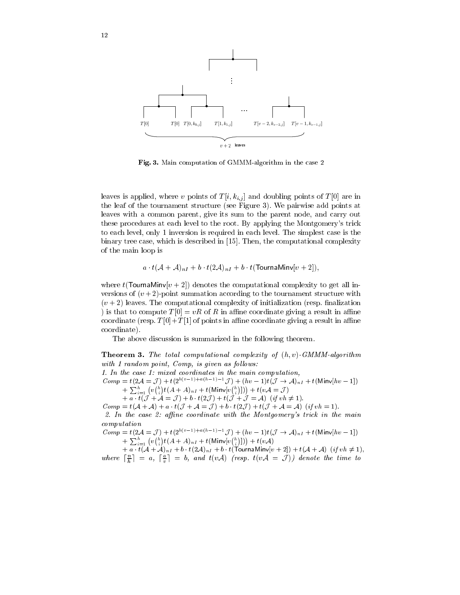

Fig. 3. Main computation of GMMM-algorithm in the case 2

leaves is applied, where v points of  $T[i, k_{i,j}]$  and doubling points of  $T[0]$  are in the leaf of the tournament structure (see Figure 3). We pairwise add points at leaves with a common parent, give its sum to the parent node, and carry out these procedures at each level to the root. By applying the Montgomery's trick to each level, only 1 inversion is required in each level. The simplest case is the binary tree case, which is described in [15]. Then, the computational complexity of the main loop is

$$
a \cdot t(\mathcal{A} + \mathcal{A})_{nI} + b \cdot t(2\mathcal{A})_{nI} + b \cdot t(\text{TournaMinv}[v + 2]),
$$

where  $t$ (TournaMinv[ $v + 2$ ]) denotes the computational complexity to get all inversions of  $(v+2)$ -point summation according to the tournament structure with  $(v+2)$  leaves. The computational complexity of initialization (resp. finalization ) is that to compute  $T[0] = vR$  of R in affine coordinate giving a result in affine coordinate (resp.  $T[0]+T[1]$  of points in affine coordinate giving a result in affine coordinate).

The above discussion is summarized in the following theorem.

**Theorem 3.** The total computational complexity of  $(h, v)$ -GMMM-algorithm with 1 random point, Comp, is given as follows: 1. In the case 1: mixed coordinates in the main computation, Comp =  $t(2\mathcal{A} = \mathcal{J}) + t(2^{b(v-1)+a(h-1)-1}\mathcal{J}) + (hv-1)t(\mathcal{J} \to \mathcal{A})_{nI} + t(\text{Minv}[hv-1])$  $+\sum_{i=1}^h (v\binom{h}{i}t(A+A)_{nI}+t(\text{Minv}[v\binom{h}{i}]))+t(v\mathcal{A}=\mathcal{J})$ + a  $t(\mathcal{J} + \mathcal{A} = \mathcal{J}) + b \cdot t(2\mathcal{J}) + t(\mathcal{J} + \mathcal{J} = \mathcal{A})$  (if  $vh \neq 1$ )  $Comp = t(\mathcal{A} + \mathcal{A}) + a \cdot t(\mathcal{J} + \mathcal{A} = \mathcal{J}) + b \cdot t(2\mathcal{J}) + t(\mathcal{J} + \mathcal{A} = \mathcal{A})$  (if  $vh = 1$ ). 2. In the case 2: affine coordinate with the Montgomery's trick in the main  $computation$  $Comp = t(2\mathcal{A} = \mathcal{J}) + t(2^{b(v-1)+a(h-1)-1}\mathcal{J}) + (hv-1)t(\mathcal{J} \to \mathcal{A})_{nI} + t(\text{Minv}[hv-1])$ +  $\sum_{i=1}^{h} (v \binom{h}{i} t (A + A)_{nI} + t(\text{Minv}[v \binom{h}{i}])) + t(v\mathcal{A}) + a \cdot t(\mathcal{A} + \mathcal{A})_{nI} + b \cdot t(2\mathcal{A})_{nI} + b \cdot t(\text{TournaMin}(v+2)) + t(\mathcal{A} + \mathcal{A}) \quad (if \quad vh \neq 1),$ <br>where  $\lceil \frac{n}{h} \rceil = a, \lceil \frac{a}{v} \rceil = b, \text{ and } t(v\mathcal{A}) \quad (resp. \quad t(v\mathcal{A} = \mathcal{J})) \quad$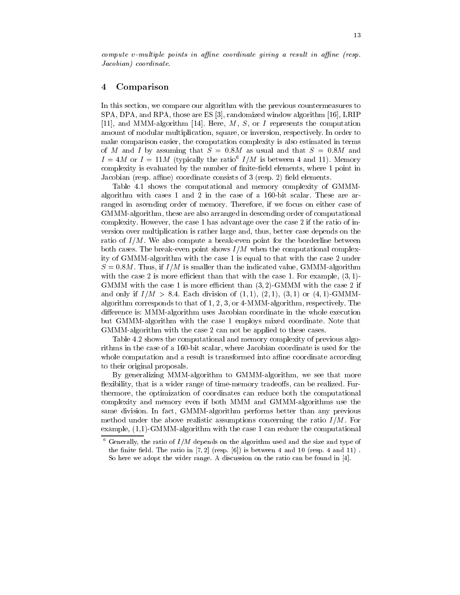#### Comparison  $\overline{4}$

In this section, we compare our algorithm with the previous countermeasures to SPA, DPA, and RPA, those are ES [3], randomized window algorithm [16], LRIP [11], and MMM-algorithm [14]. Here,  $M$ ,  $S$ , or  $I$  represents the computation amount of modular multiplication, square, or inversion, respectively. In order to make comparison easier, the computation complexity is also estimated in terms of M and I by assuming that  $S = 0.8M$  as usual and that  $S = 0.8M$  and  $I = 4M$  or  $I = 11M$  (typically the ratio<sup>6</sup>  $I/M$  is between 4 and 11). Memory complexity is evaluated by the number of finite-field elements, where 1 point in Jacobian (resp. affine) coordinate consists of 3 (resp. 2) field elements.

Table 4.1 shows the computational and memory complexity of GMMMalgorithm with cases 1 and 2 in the case of a  $160$ -bit scalar. These are arranged in ascending order of memory. Therefore, if we focus on either case of GMMM-algorithm, these are also arranged in descending order of computational complexity. However, the case 1 has advantage over the case 2 if the ratio of inversion over multiplication is rather large and, thus, better case depends on the ratio of  $I/M$ . We also compute a break-even point for the borderline between both cases. The break-even point shows  $I/M$  when the computational complexity of GMMM-algorithm with the case 1 is equal to that with the case 2 under  $S = 0.8M$ . Thus, if  $I/M$  is smaller than the indicated value, GMMM-algorithm with the case 2 is more efficient than that with the case 1. For example,  $(3,1)$ -GMMM with the case 1 is more efficient than  $(3,2)$ -GMMM with the case 2 if and only if  $I/M > 8.4$ . Each division of  $(1,1)$ ,  $(2,1)$ ,  $(3,1)$  or  $(4,1)$ -GMMMalgorithm corresponds to that of 1, 2, 3, or  $4\text{-}MMM$ -algorithm, respectively. The difference is: MMM-algorithm uses Jacobian coordinate in the whole execution but GMMM-algorithm with the case 1 employs mixed coordinate. Note that GMMM-algorithm with the case 2 can not be applied to these cases.

Table 4.2 shows the computational and memory complexity of previous algorithms in the case of a 160-bit scalar, where Jacobian coordinate is used for the whole computation and a result is transformed into affine coordinate according to their original proposals.

By generalizing MMM-algorithm to GMMM-algorithm, we see that more flexibility, that is a wider range of time-memory tradeoffs, can be realized. Furthermore, the optimization of coordinates can reduce both the computational complexity and memory even if both MMM and GMMM-algorithms use the same division. In fact, GMMM-algorithm performs better than any previous method under the above realistic assumptions concerning the ratio  $I/M$ . For example,  $(1,1)$ -GMMM-algorithm with the case 1 can reduce the computational

<sup>- 6</sup> Generally, the ratio of  $I/M$  depends on the algorithm used and the size and type of the finite field. The ratio in  $[7,2]$  (resp.  $[6]$ ) is between 4 and 10 (resp. 4 and 11). So here we adopt the wider range. A discussion on the ratio can be found in  $[4]$ .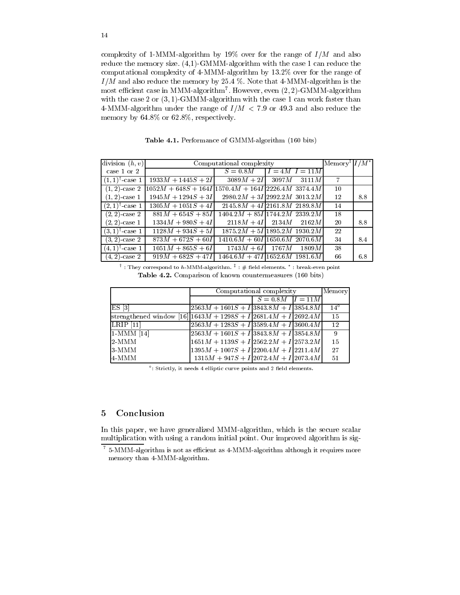complexity of 1-MMM-algorithm by 19% over for the range of  $I/M$  and also reduce the memory size.  $(4,1)$ -GMMM-algorithm with the case 1 can reduce the computational complexity of 4-MMM-algorithm by 13.2% over for the range of  $I/M$  and also reduce the memory by 25.4 %. Note that 4-MMM-algorithm is the most efficient case in MMM-algorithm<sup>7</sup>. However, even  $(2, 2)$ -GMMM-algorithm with the case 2 or  $(3,1)$ -GMMM-algorithm with the case 1 can work faster than 4-MMM-algorithm under the range of  $I/M < 7.9$  or 49.3 and also reduce the memory by  $64.8\%$  or  $62.8\%$ , respectively.

Table 4.1. Performance of GMMM-algorithm (160 bits)

| division $(h, v)$         | Computational complexity                             |                                 |  | $\vert$ Memory <sup>‡</sup> $\vert I/M^{\star} \vert$ |                |     |
|---------------------------|------------------------------------------------------|---------------------------------|--|-------------------------------------------------------|----------------|-----|
| case 1 or 2               |                                                      | $S=0.8M$                        |  | $I = 4M$ $I = 11M$                                    |                |     |
| $(1,1)^{\dagger}$ -case 1 | $1933M + 1445S + 2I$                                 | $3089M + 2I$ 3097M 3111M        |  |                                                       | $\overline{7}$ |     |
| $(1, 2)$ -case 2          | $1052M + 648S + 164I$ 1570.4M + 164I 2226.4M 3374.4M |                                 |  |                                                       | 10             |     |
| $(1, 2)$ -case 1          | $1945M + 1294S + 3I$                                 | $2980.2M + 3I$ 2992.2M 3013.2M  |  |                                                       | 12             | 8.8 |
| $(2,1)^{\dagger}$ -case 1 | $1305M + 1051S + 4I$                                 | $2145.8M + 4I$ 2161.8M 2189.8M  |  |                                                       | 14             |     |
| $(2, 2)$ -case 2          | $881M + 654S + 85I$                                  | $1404.2M + 85I$ 1744.2M 2339.2M |  |                                                       | 18             |     |
| $(2, 2)$ -case 1          | $1334M + 980S + 4I$                                  | $2118M + 4I$ $2134M$ $2162M$    |  |                                                       | 20             | 88  |
| $(3,1)^{\dagger}$ case 1  | $1128M + 934S + 5I$                                  | $1875.2M + 5I 1895.2M$ 1930.2M  |  |                                                       | 22             |     |
| $(3,2)$ -case 2           | $873M + 672S + 60I$                                  | $1410.6M + 60I/1650.6M$ 2070.6M |  |                                                       | 34             | 8.4 |
| $(4,1)^{\dagger}$ -case 1 | $1051M + 865S + 6I$                                  | $1743M + 6I$ 1767 $M$ 1809 $M$  |  |                                                       | 38             |     |
| $(4,2)$ -case 2           | $919M + 682S + 47I$ 1464.6M + 47I 1652.6M 1981.6M    |                                 |  |                                                       | 66             | 6.8 |

 $^{\dagger}$  : They correspond to h-MMM-algorithm.  $^{\ddagger}$  : # field elements.  $^{\star}$  : break-even point Table 4.2. Comparison of known countermeasures (160 bits)

|                                                                                      | Computational complexity                                       | Memory                 |  |              |
|--------------------------------------------------------------------------------------|----------------------------------------------------------------|------------------------|--|--------------|
|                                                                                      |                                                                | $S = 0.8M$ $ I = 11M $ |  |              |
| $ES$ [3]                                                                             | $\left  2563M + 1601S + I \right  3843.8M + I \right  3854.8M$ |                        |  | $14^{\circ}$ |
| $ \text{strengthened window [16] 1643}M + \overline{1298S + I 2681.4M + I 2692.4M} $ |                                                                |                        |  | -15          |
| LRIP 11                                                                              | $\left  2563M + 1283S + I \right  3589.4M + I \right  3600.4M$ |                        |  | 12           |
| $1-MMM$ [14]                                                                         | $\left  2563M + 1601S + I \right  3843.8M + I \right  3854.8M$ |                        |  | -9           |
| 12-MMM                                                                               | $1651M + 1139S + I 2562.2M + I 2573.2M $                       |                        |  | 15           |
| 13-MMM                                                                               | $1395M + 1007S + I 2200.4M + I 2211.4M$                        |                        |  | 27           |
| 4-MMM                                                                                | $1315M + 947S + I$ 2072.4M + $I$ 2073.4M                       |                        |  | 51           |

°: Strictly, it needs 4 elliptic curve points and 2 field elements.

#### Conclusion  $\overline{5}$

In this paper, we have generalized MMM-algorithm, which is the secure scalar multiplication with using a random initial point. Our improved algorithm is sig-

 $7\,$  5-MMM-algorithm is not as efficient as 4-MMM-algorithm although it requires more memory than 4-MMM-algorithm.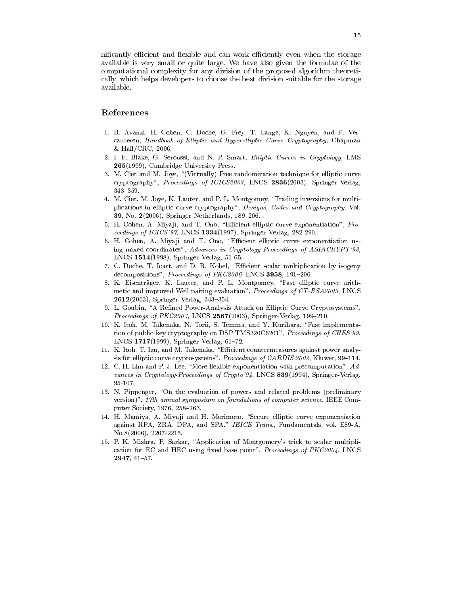nificantly efficient and flexible and can work efficiently even when the storage available is very small or quite large. We have also given the formulae of the computational complexity for any division of the proposed algorithm theoretically, which helps developers to choose the best division suitable for the storage available.

## References

- 1. R. Avanzi, H. Cohen, C. Doche, G. Frey, T. Lange, K. Nguyen, and F. Vercauteren, Handbook of Elliptic and Hyperelliptic Curve Cryptography, Chapman & Hall/CRC, 2006.
- 2. I. F. Blake, G. Seroussi, and N. P. Smart, Elliptic Curves in Cryptology, LMS 265(1999), Cambridge University Press.
- 3. M. Ciet and M. Joye, "(Virtually) Free randomization technique for elliptic curve cryptography", Proceedings of ICICS2003, LNCS 2836(2003), Springer-Verlag,  $348 - 359.$
- 4. M. Ciet, M. Joye, K. Lauter, and P. L. Montgomey, "Trading inversions for multiplications in elliptic curve cryptography", Designs, Codes and Cryptography, Vol. 39, No. 2(2006), Springer Netherlands, 189-206.
- 5. H. Cohen, A. Miyaji, and T. Ono, "Efficient elliptic curve exponentiation", Proceedings of ICICS'97, LNCS 1334(1997), Springer-Verlag, 282-290.
- 6. H. Cohen, A. Miyaji and T. Ono, "Efficient elliptic curve exponentiation using mixed coordinates", Advances in Cryptology-Proceedings of ASIACRYPT'98. LNCS 1514(1998), Springer-Verlag, 51-65.
- 7. C. Doche, T. Icart, and D. R. Kohel, "Efficient scalar multiplication by isogeny decompositions", Proceedings of PKC2006, LNCS 3958, 191-206.
- 8. K. Eisenträger, K. Lauter, and P. L. Montgomey, "Fast elliptic curve arithmetic and improved Weil pairing evaluation", Proceedings of CT-RSA2003, LNCS  $2612(2003)$ , Springer-Verlag, 343-354.
- 9. L. Goubin, "A Refined Power-Analysis Attack on Elliptic Curve Cryptosystems", Proceedings of PKC2003, LNCS 2567(2003), Springer-Verlag, 199-210.
- 10. K. Itoh, M. Takenaka, N. Torii, S. Temma, and Y. Kurihara, "Fast implementation of public-key cryptography on DSP TMS320C6201", Proceedings of CHES'99. LNCS  $1717(1999)$ , Springer-Verlag, 61-72.
- 11. K. Itoh, T. Izu, and M. Takenaka, "Efficient countermeasures against power analysis for elliptic curve cryptosystems", Proceedings of CARDIS 2004, Kluwer, 99-114.
- 12. C. H. Lim and P. J. Lee, "More flexible exponentiation with precomputation", Advances in Cryptology-Proceedings of Crypto'94, LNCS 839(1994), Springer-Verlag  $95 - 107.$
- 13. N. Pippenger, "On the evaluation of powers and related problems (preliminary version)", 17th annual symposium on foundations of computer science, IEEE Computer Society, 1976, 258-263.
- 14. H. Mamiya, A. Miyaji and H. Morimoto. "Secure elliptic curve exponentiation against RPA, ZRA, DPA, and SPA." IEICE Trans., Fundamentals. vol. E89-A,  $No.8(2006), 2207-2215.$
- 15. P. K. Mishra, P. Sarkar, "Application of Montgomery's trick to scalar multiplication for EC and HEC using fixed base point", Proceedings of PKC2004, LNCS 2947, 41-57.